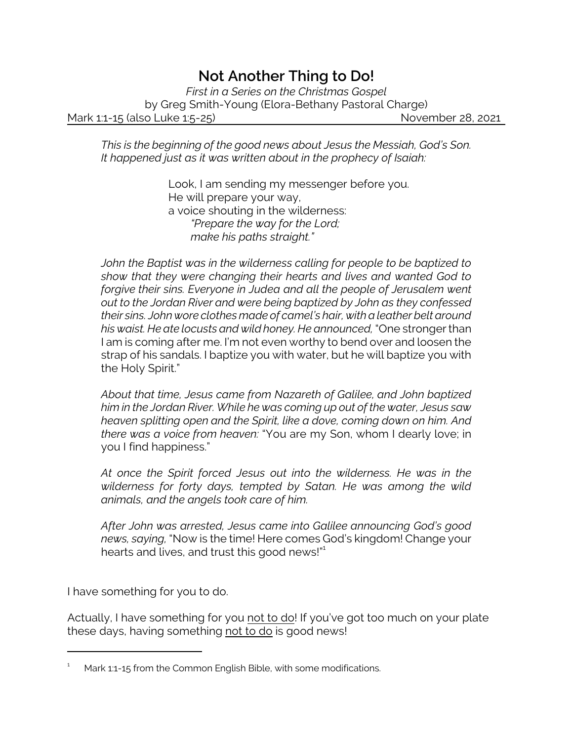## *Not Another Thing to Do!*

*First in a Series on the Christmas Gospel* by Greg Smith-Young (Elora-Bethany Pastoral Charge) Mark 1:1-15 (also Luke 1:5-25) Mark 1:1-15 (also Luke 1:5-25)

*This is the beginning of the good news about Jesus the Messiah, God's Son. It happened just as it was written about in the prophecy of Isaiah:*

> Look, I am sending my messenger before you. He will prepare your way, a voice shouting in the wilderness:  *"Prepare the way for the Lord; make his paths straight."*

*John the Baptist was in the wilderness calling for people to be baptized to show that they were changing their hearts and lives and wanted God to forgive their sins. Everyone in Judea and all the people of Jerusalem went out to the Jordan River and were being baptized by John as they confessed their sins. John wore clothes made of camel's hair, with a leather belt around his waist. He ate locusts and wild honey. He announced,* "One stronger than I am is coming after me. I'm not even worthy to bend over and loosen the strap of his sandals. I baptize you with water, but he will baptize you with the Holy Spirit."

*About that time, Jesus came from Nazareth of Galilee, and John baptized him in the Jordan River. While he was coming up out of the water, Jesus saw heaven splitting open and the Spirit, like a dove, coming down on him. And there was a voice from heaven:* "You are my Son, whom I dearly love; in you I find happiness."

*At once the Spirit forced Jesus out into the wilderness. He was in the wilderness for forty days, tempted by Satan. He was among the wild animals, and the angels took care of him.*

*After John was arrested, Jesus came into Galilee announcing God's good news, saying,* "Now is the time! Here comes God's kingdom! Change your hearts and lives, and trust this good news!"<sup>1</sup>

I have something for you to do.

Actually, I have something for you not to do! If you've got too much on your plate these days, having something not to do is good news!

Mark 1:1-15 from the Common English Bible, with some modifications.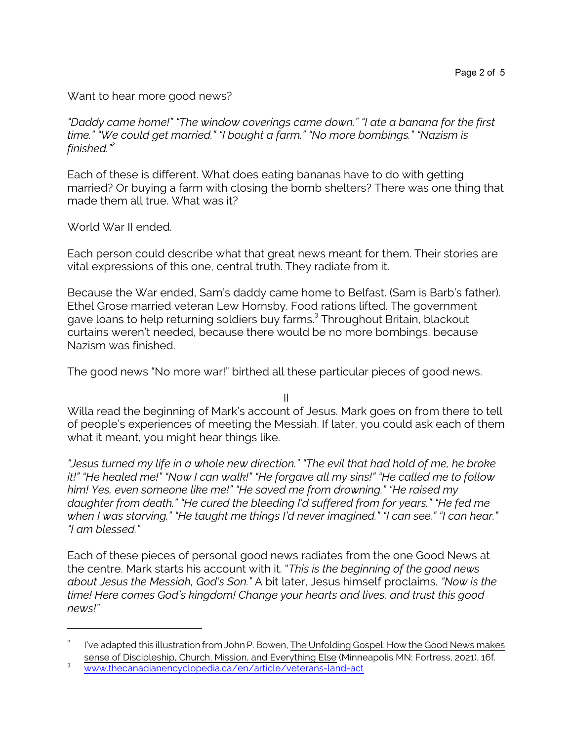Want to hear more good news?

*"Daddy came home!" "The window coverings came down." "I ate a banana for the first time." "We could get married." "I bought a farm." "No more bombings." "Nazism is finished."*<sup>2</sup>

Each of these is different. What does eating bananas have to do with getting married? Or buying a farm with closing the bomb shelters? There was one thing that made them all true. What was it?

World War II ended.

Each person could describe what that great news meant for them. Their stories are vital expressions of this one, central truth. They radiate from it.

Because the War ended, Sam's daddy came home to Belfast. (Sam is Barb's father). Ethel Grose married veteran Lew Hornsby. Food rations lifted. The government gave loans to help returning soldiers buy farms. 3 Throughout Britain, blackout curtains weren't needed, because there would be no more bombings, because Nazism was finished.

The good news "No more war!" birthed all these particular pieces of good news.

II

Willa read the beginning of Mark's account of Jesus. Mark goes on from there to tell of people's experiences of meeting the Messiah. If later, you could ask each of them what it meant, you might hear things like.

*"Jesus turned my life in a whole new direction." "The evil that had hold of me, he broke it!" "He healed me!" "Now I can walk!" "He forgave all my sins!" "He called me to follow him! Yes, even someone like me!" "He saved me from drowning." "He raised my daughter from death." "He cured the bleeding I'd suffered from for years." "He fed me when I was starving." "He taught me things I'd never imagined." "I can see." "I can hear." "I am blessed."*

Each of these pieces of personal good news radiates from the one Good News at the centre. Mark starts his account with it. "*This is the beginning of the good news about Jesus the Messiah, God's Son."* A bit later, Jesus himself proclaims, *"Now is the time! Here comes God's kingdom! Change your hearts and lives, and trust this good news!"*

<sup>2</sup> I've adapted this illustration from John P. Bowen, The Unfolding Gospel: How the Good News makes sense of Discipleship, Church, Mission, and Everything Else (Minneapolis MN: Fortress, 2021), 16f.

<sup>3</sup> [www.thecanadianencyclopedia.ca/en/article/veterans-land-act](https://www.thecanadianencyclopedia.ca/en/article/veterans-land-act)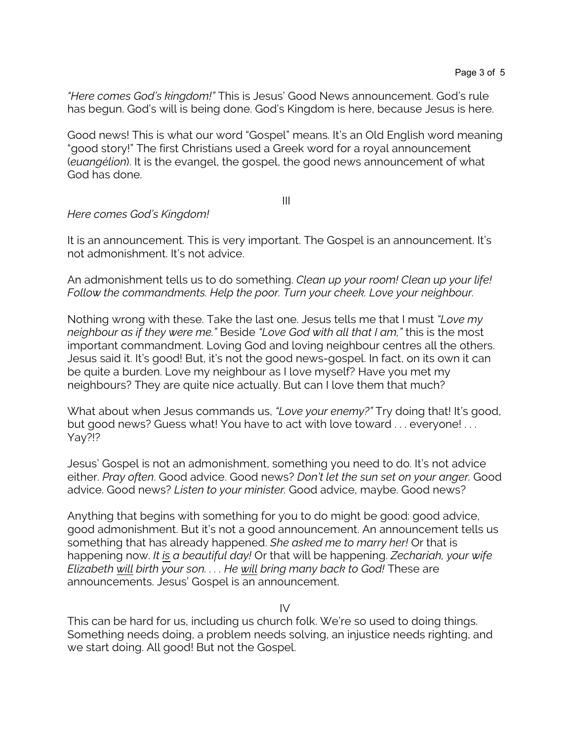*"Here comes God's kingdom!"* This is Jesus' Good News announcement. God's rule has begun. God's will is being done. God's Kingdom is here, because Jesus is here.

Good news! This is what our word "Gospel" means. It's an Old English word meaning "good story!" The first Christians used a Greek word for a royal announcement (*euangélion*). It is the evangel, the gospel, the good news announcement of what God has done.

III

*Here comes God's Kingdom!*

It is an announcement. This is very important. The Gospel is an announcement. It's not admonishment. It's not advice.

An admonishment tells us to do something. *Clean up your room! Clean up your life! Follow the commandments. Help the poor. Turn your cheek. Love your neighbour.* 

Nothing wrong with these. Take the last one. Jesus tells me that I must *"Love my neighbour as if they were me."* Beside *"Love God with all that I am,"* this is the most important commandment. Loving God and loving neighbour centres all the others. Jesus said it. It's good! But, it's not the good news-gospel. In fact, on its own it can be quite a burden. Love my neighbour as I love myself? Have you met my neighbours? They are quite nice actually. But can I love them that much?

What about when Jesus commands us, *"Love your enemy?"* Try doing that! It's good, but good news? Guess what! You have to act with love toward . . . everyone! . . . Yay?!?

Jesus' Gospel is not an admonishment, something you need to do. It's not advice either. *Pray often*. Good advice. Good news? *Don't let the sun set on your anger.* Good advice. Good news? *Listen to your minister.* Good advice, maybe. Good news?

Anything that begins with something for you to do might be good: good advice, good admonishment. But it's not a good announcement. An announcement tells us something that has already happened. *She asked me to marry her!* Or that is happening now. *It is a beautiful day!* Or that will be happening. *Zechariah, your wife Elizabeth will birth your son. . . . He will bring many back to God!* These are announcements. Jesus' Gospel is an announcement.

 $IV$ 

This can be hard for us, including us church folk. We're so used to doing things. Something needs doing, a problem needs solving, an injustice needs righting, and we start doing. All good! But not the Gospel.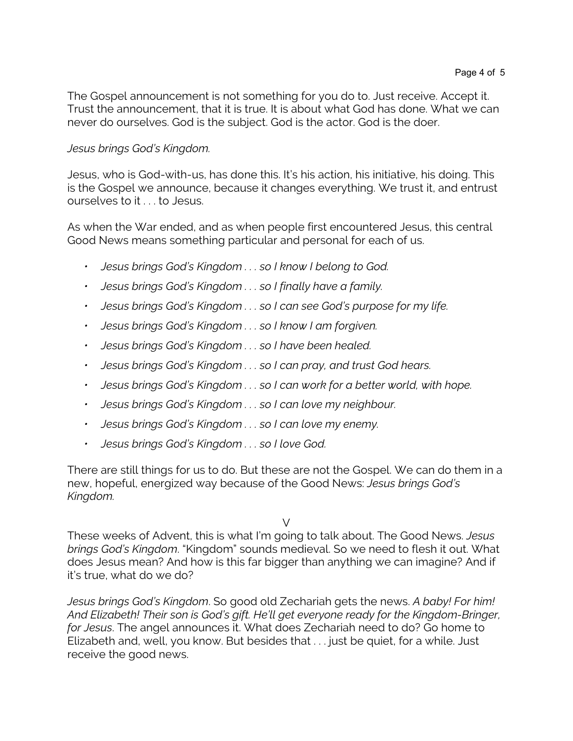The Gospel announcement is not something for you do to. Just receive. Accept it. Trust the announcement, that it is true. It is about what God has done. What we can never do ourselves. God is the subject. God is the actor. God is the doer.

## *Jesus brings God's Kingdom.*

Jesus, who is God-with-us, has done this. It's his action, his initiative, his doing. This is the Gospel we announce, because it changes everything. We trust it, and entrust ourselves to it . . . to Jesus.

As when the War ended, and as when people first encountered Jesus, this central Good News means something particular and personal for each of us.

- *• Jesus brings God's Kingdom . . . so I know I belong to God.*
- *• Jesus brings God's Kingdom . . . so I finally have a family.*
- *• Jesus brings God's Kingdom . . . so I can see God's purpose for my life.*
- *• Jesus brings God's Kingdom . . . so I know I am forgiven.*
- *• Jesus brings God's Kingdom . . . so I have been healed.*
- *• Jesus brings God's Kingdom . . . so I can pray, and trust God hears.*
- *• Jesus brings God's Kingdom . . . so I can work for a better world, with hope.*
- *• Jesus brings God's Kingdom . . . so I can love my neighbour.*
- *• Jesus brings God's Kingdom . . . so I can love my enemy.*
- *• Jesus brings God's Kingdom . . . so I love God.*

There are still things for us to do. But these are not the Gospel. We can do them in a new, hopeful, energized way because of the Good News: *Jesus brings God's Kingdom.*

V

These weeks of Advent, this is what I'm going to talk about. The Good News. *Jesus brings God's Kingdom*. "Kingdom" sounds medieval. So we need to flesh it out. What does Jesus mean? And how is this far bigger than anything we can imagine? And if it's true, what do we do?

*Jesus brings God's Kingdom*. So good old Zechariah gets the news. *A baby! For him! And Elizabeth! Their son is God's gift. He'll get everyone ready for the Kingdom-Bringer, for Jesus*. The angel announces it. What does Zechariah need to do? Go home to Elizabeth and, well, you know. But besides that . . . just be quiet, for a while. Just receive the good news.